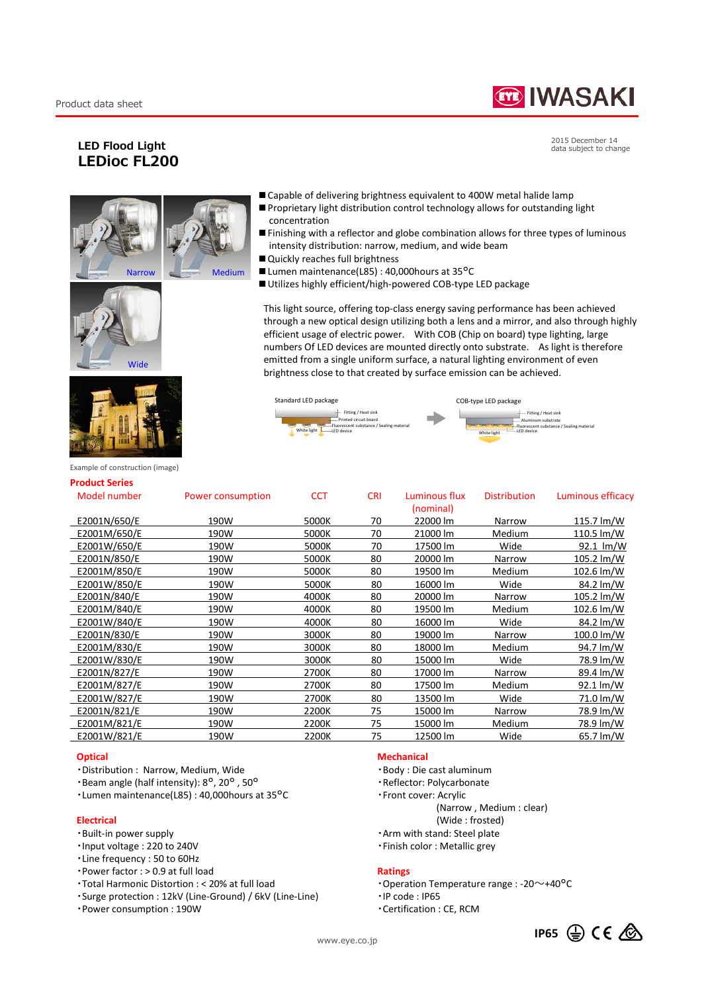# **TE IWASAKI**

Aluminum substrate Fitting / Heat sink Fluorescent substance / Sealing material

hite light

# **LED Flood Light LEDioc FL200**

2015 December 14 data subject to change







Example of construction (image)

#### **Product Series**

| Model number | Power consumption | <b>CCT</b> | <b>CRI</b> | Luminous flux<br>(nominal) | <b>Distribution</b> | Luminous efficacy |
|--------------|-------------------|------------|------------|----------------------------|---------------------|-------------------|
| E2001N/650/E | 190W              | 5000K      | 70         | 22000 lm                   | Narrow              | 115.7 lm/W        |
| E2001M/650/E | 190W              | 5000K      | 70         | 21000 lm                   | Medium              | 110.5 lm/W        |
| E2001W/650/E | 190W              | 5000K      | 70         | 17500 lm                   | Wide                | 92.1 lm/W         |
| E2001N/850/E | 190W              | 5000K      | 80         | 20000 lm                   | Narrow              | 105.2 lm/W        |
| E2001M/850/E | 190W              | 5000K      | 80         | 19500 lm                   | Medium              | 102.6 lm/W        |
| E2001W/850/E | 190W              | 5000K      | 80         | 16000 lm                   | Wide                | 84.2 lm/W         |
| E2001N/840/E | 190W              | 4000K      | 80         | 20000 lm                   | Narrow              | 105.2 lm/W        |
| E2001M/840/E | 190W              | 4000K      | 80         | 19500 lm                   | Medium              | 102.6 lm/W        |
| E2001W/840/E | 190W              | 4000K      | 80         | 16000 lm                   | Wide                | 84.2 lm/W         |
| E2001N/830/E | 190W              | 3000K      | 80         | 19000 lm                   | Narrow              | 100.0 lm/W        |
| E2001M/830/E | 190W              | 3000K      | 80         | 18000 lm                   | Medium              | 94.7 lm/W         |
| E2001W/830/E | 190W              | 3000K      | 80         | 15000 lm                   | Wide                | 78.9 lm/W         |
| E2001N/827/E | 190W              | 2700K      | 80         | 17000 lm                   | Narrow              | 89.4 lm/W         |
| E2001M/827/E | 190W              | 2700K      | 80         | 17500 lm                   | Medium              | 92.1 lm/W         |
| E2001W/827/E | 190W              | 2700K      | 80         | 13500 lm                   | Wide                | 71.0 lm/W         |
| E2001N/821/E | 190W              | 2200K      | 75         | 15000 lm                   | Narrow              | 78.9 lm/W         |
| E2001M/821/E | 190W              | 2200K      | 75         | 15000 lm                   | Medium              | 78.9 lm/W         |
| E2001W/821/E | 190W              | 2200K      | 75         | 12500 lm                   | Wide                | 65.7 lm/W         |
|              |                   |            |            |                            |                     |                   |

#### **Optical**

- ・Distribution : Narrow, Medium, Wide
- ・Beam angle (half intensity): 8°, 20° , 50°
- ・Lumen maintenance(L85) : 40,000hours at 35°C

#### **Electrical**

- ・Built-in power supply
- ・Input voltage : 220 to 240V
- ・Line frequency : 50 to 60Hz
- $\cdot$  Power factor : > 0.9 at full load
- ・Total Harmonic Distortion : < 20% at full load
- ・Surge protection : 12kV (Line-Ground) / 6kV (Line-Line)
- ・Power consumption : 190W

#### **Mechanical**

Standard LED package COB-type LED package

White light **LED** device **CED** device

■ Capable of delivering brightness equivalent to 400W metal halide lamp ■ Proprietary light distribution control technology allows for outstanding light

intensity distribution: narrow, medium, and wide beam

■ Utilizes highly efficient/high-powered COB-type LED package

■ Lumen maintenance(L85) : 40,000 hours at 35°C

■ Finishing with a reflector and globe combination allows for three types of luminous

This light source, offering top-class energy saving performance has been achieved through a new optical design utilizing both a lens and a mirror, and also through highly efficient usage of electric power. With COB (Chip on board) type lighting, large numbers Of LED devices are mounted directly onto substrate. As light is therefore emitted from a single uniform surface, a natural lighting environment of even brightness close to that created by surface emission can be achieved.

> Fitting / Heat sink Printed circuit board Fluorescent substance / Sealing material

LED device

concentration

■ Quickly reaches full brightness

- ・Body : Die cast aluminum
- ・Reflector: Polycarbonate
- ・Front cover: Acrylic

(Narrow , Medium : clear)

- (Wide : frosted)
- ・Arm with stand: Steel plate
- ・Finish color : Metallic grey

## **Ratings**

- ・Operation Temperature range : -20~+40°C
- ・IP code : IP65
- ・Certification : CE, RCM